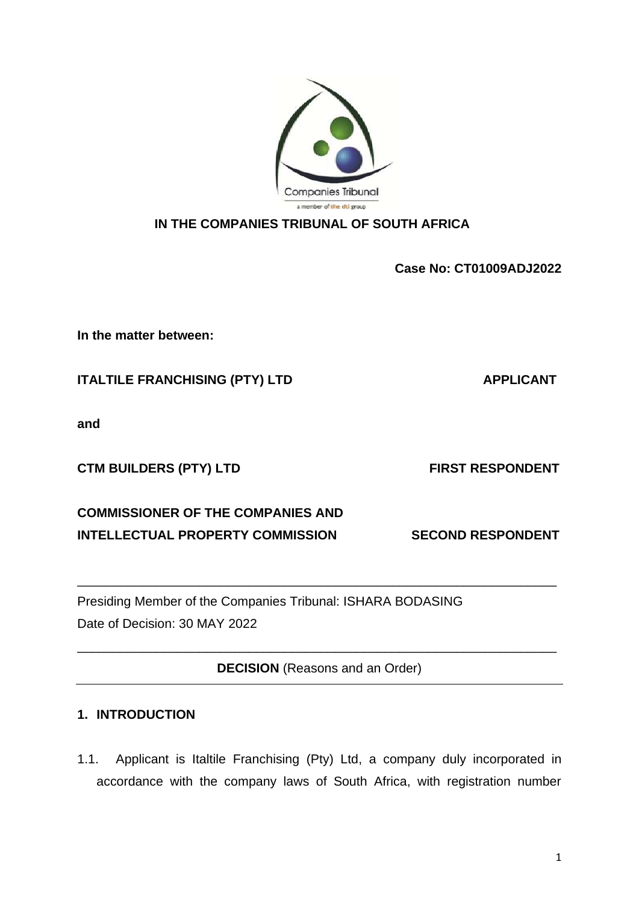**Case No: CT01009ADJ2022**

**In the matter between:**

**ITALTILE FRANCHISING (PTY) LTD APPLICANT** 

**and**

CTM BUILDERS (PTY) LTD FIRST RESPONDENT

**COMMISSIONER OF THE COMPANIES AND INTELLECTUAL PROPERTY COMMISSION SECOND RESPONDENT** 

Presiding Member of the Companies Tribunal: ISHARA BODASING Date of Decision: 30 MAY 2022

**DECISION** (Reasons and an Order)

\_\_\_\_\_\_\_\_\_\_\_\_\_\_\_\_\_\_\_\_\_\_\_\_\_\_\_\_\_\_\_\_\_\_\_\_\_\_\_\_\_\_\_\_\_\_\_\_\_\_\_\_\_\_\_\_\_\_\_\_\_\_\_\_\_\_\_

\_\_\_\_\_\_\_\_\_\_\_\_\_\_\_\_\_\_\_\_\_\_\_\_\_\_\_\_\_\_\_\_\_\_\_\_\_\_\_\_\_\_\_\_\_\_\_\_\_\_\_\_\_\_\_\_\_\_\_\_\_\_\_\_\_\_\_

## **1. INTRODUCTION**

1.1. Applicant is Italtile Franchising (Pty) Ltd, a company duly incorporated in accordance with the company laws of South Africa, with registration number

Companies Tribunal a member of the dti group **IN THE COMPANIES TRIBUNAL OF SOUTH AFRICA**

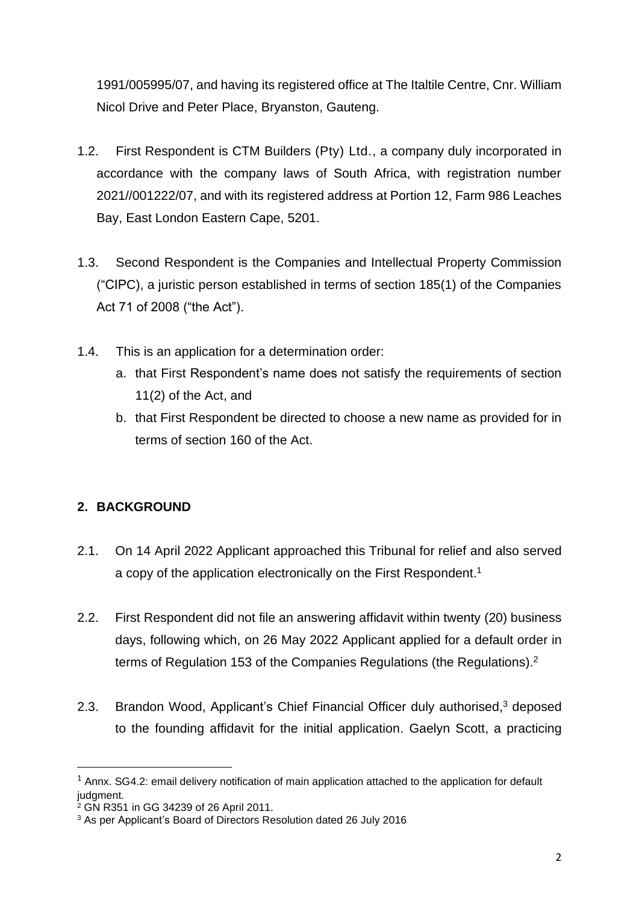1991/005995/07, and having its registered office at The Italtile Centre, Cnr. William Nicol Drive and Peter Place, Bryanston, Gauteng.

- 1.2. First Respondent is CTM Builders (Pty) Ltd., a company duly incorporated in accordance with the company laws of South Africa, with registration number 2021//001222/07, and with its registered address at Portion 12, Farm 986 Leaches Bay, East London Eastern Cape, 5201.
- 1.3. Second Respondent is the Companies and Intellectual Property Commission ("CIPC), a juristic person established in terms of section 185(1) of the Companies Act 71 of 2008 ("the Act").
- 1.4. This is an application for a determination order:
	- a. that First Respondent's name does not satisfy the requirements of section 11(2) of the Act, and
	- b. that First Respondent be directed to choose a new name as provided for in terms of section 160 of the Act.

# **2. BACKGROUND**

- 2.1. On 14 April 2022 Applicant approached this Tribunal for relief and also served a copy of the application electronically on the First Respondent.<sup>1</sup>
- 2.2. First Respondent did not file an answering affidavit within twenty (20) business days, following which, on 26 May 2022 Applicant applied for a default order in terms of Regulation 153 of the Companies Regulations (the Regulations).<sup>2</sup>
- 2.3. Brandon Wood, Applicant's Chief Financial Officer duly authorised,<sup>3</sup> deposed to the founding affidavit for the initial application. Gaelyn Scott, a practicing

 $<sup>1</sup>$  Annx. SG4.2: email delivery notification of main application attached to the application for default</sup> judgment.

 $2$  GN R351 in GG 34239 of 26 April 2011.

<sup>3</sup> As per Applicant's Board of Directors Resolution dated 26 July 2016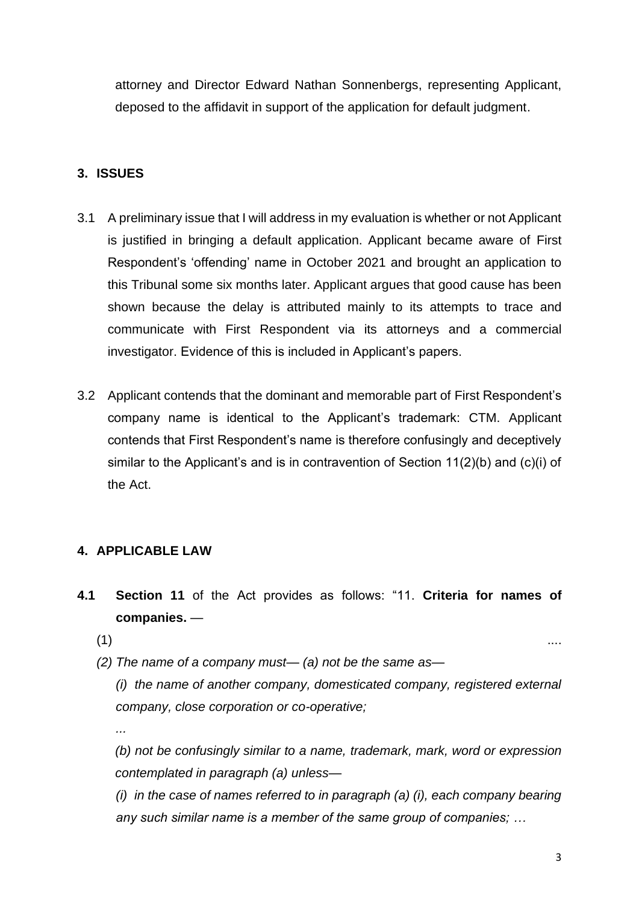attorney and Director Edward Nathan Sonnenbergs, representing Applicant, deposed to the affidavit in support of the application for default judgment.

### **3. ISSUES**

- 3.1 A preliminary issue that I will address in my evaluation is whether or not Applicant is justified in bringing a default application. Applicant became aware of First Respondent's 'offending' name in October 2021 and brought an application to this Tribunal some six months later. Applicant argues that good cause has been shown because the delay is attributed mainly to its attempts to trace and communicate with First Respondent via its attorneys and a commercial investigator. Evidence of this is included in Applicant's papers.
- 3.2 Applicant contends that the dominant and memorable part of First Respondent's company name is identical to the Applicant's trademark: CTM. Applicant contends that First Respondent's name is therefore confusingly and deceptively similar to the Applicant's and is in contravention of Section 11(2)(b) and (c)(i) of the Act.

### **4. APPLICABLE LAW**

- **4.1 Section 11** of the Act provides as follows: "11. **Criteria for names of companies.** —
	- $\hspace{.1cm}$  (1)  $\hspace{.1cm}$  ....

*...* 

*(2) The name of a company must— (a) not be the same as—*

*(i) the name of another company, domesticated company, registered external company, close corporation or co-operative;* 

*(b) not be confusingly similar to a name, trademark, mark, word or expression contemplated in paragraph (a) unless—*

*(i) in the case of names referred to in paragraph (a) (i), each company bearing any such similar name is a member of the same group of companies; …*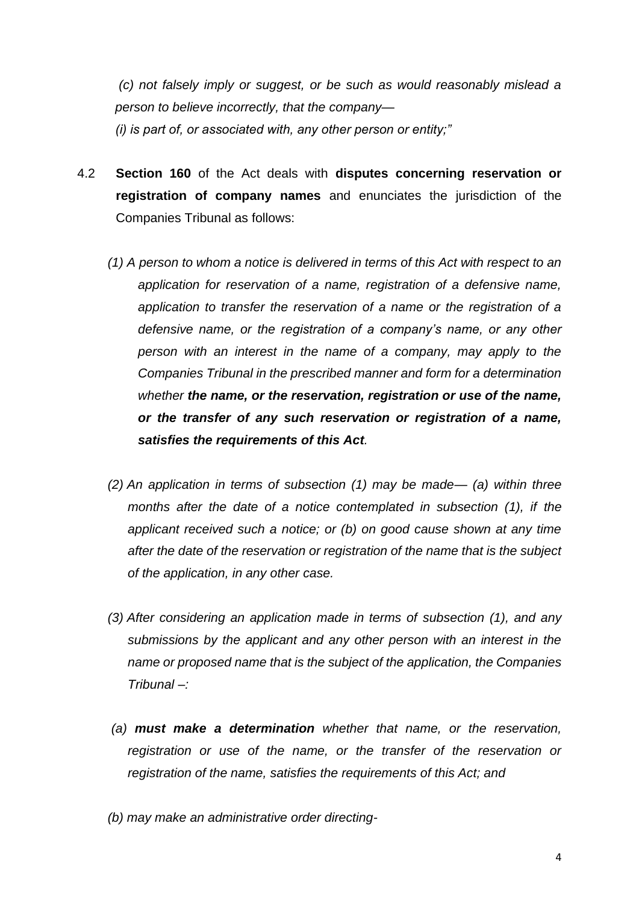*(c) not falsely imply or suggest, or be such as would reasonably mislead a person to believe incorrectly, that the company— (i) is part of, or associated with, any other person or entity;"*

- 4.2 **Section 160** of the Act deals with **disputes concerning reservation or registration of company names** and enunciates the jurisdiction of the Companies Tribunal as follows:
	- *(1) A person to whom a notice is delivered in terms of this Act with respect to an application for reservation of a name, registration of a defensive name, application to transfer the reservation of a name or the registration of a defensive name, or the registration of a company's name, or any other person with an interest in the name of a company, may apply to the Companies Tribunal in the prescribed manner and form for a determination whether the name, or the reservation, registration or use of the name, or the transfer of any such reservation or registration of a name, satisfies the requirements of this Act.*
	- *(2) An application in terms of subsection (1) may be made— (a) within three months after the date of a notice contemplated in subsection (1), if the applicant received such a notice; or (b) on good cause shown at any time after the date of the reservation or registration of the name that is the subject of the application, in any other case.*
	- *(3) After considering an application made in terms of subsection (1), and any submissions by the applicant and any other person with an interest in the name or proposed name that is the subject of the application, the Companies Tribunal –:*
	- *(a) must make a determination whether that name, or the reservation, registration or use of the name, or the transfer of the reservation or registration of the name, satisfies the requirements of this Act; and*
	- *(b) may make an administrative order directing-*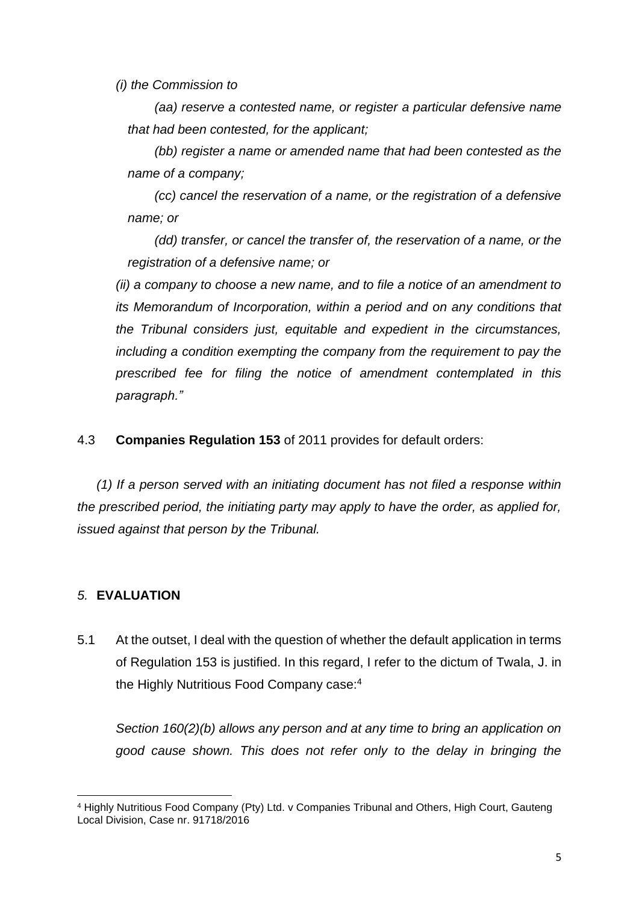*(i) the Commission to*

*(aa) reserve a contested name, or register a particular defensive name that had been contested, for the applicant;* 

*(bb) register a name or amended name that had been contested as the name of a company;* 

*(cc) cancel the reservation of a name, or the registration of a defensive name; or* 

*(dd) transfer, or cancel the transfer of, the reservation of a name, or the registration of a defensive name; or*

*(ii) a company to choose a new name, and to file a notice of an amendment to its Memorandum of Incorporation, within a period and on any conditions that the Tribunal considers just, equitable and expedient in the circumstances, including a condition exempting the company from the requirement to pay the prescribed fee for filing the notice of amendment contemplated in this paragraph."*

4.3 **Companies Regulation 153** of 2011 provides for default orders:

*(1) If a person served with an initiating document has not filed a response within the prescribed period, the initiating party may apply to have the order, as applied for, issued against that person by the Tribunal.*

#### *5.* **EVALUATION**

5.1 At the outset, I deal with the question of whether the default application in terms of Regulation 153 is justified. In this regard, I refer to the dictum of Twala, J. in the Highly Nutritious Food Company case:<sup>4</sup>

*Section 160(2)(b) allows any person and at any time to bring an application on good cause shown. This does not refer only to the delay in bringing the* 

<sup>4</sup> Highly Nutritious Food Company (Pty) Ltd. v Companies Tribunal and Others, High Court, Gauteng Local Division, Case nr. 91718/2016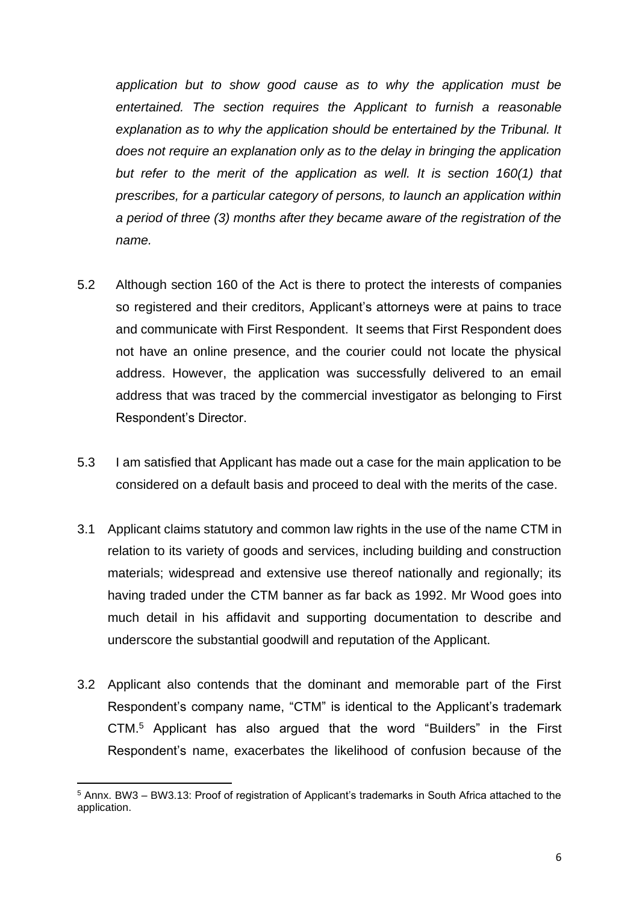*application but to show good cause as to why the application must be entertained. The section requires the Applicant to furnish a reasonable explanation as to why the application should be entertained by the Tribunal. It does not require an explanation only as to the delay in bringing the application*  but refer to the merit of the application as well. It is section 160(1) that *prescribes, for a particular category of persons, to launch an application within a period of three (3) months after they became aware of the registration of the name.* 

- 5.2 Although section 160 of the Act is there to protect the interests of companies so registered and their creditors, Applicant's attorneys were at pains to trace and communicate with First Respondent. It seems that First Respondent does not have an online presence, and the courier could not locate the physical address. However, the application was successfully delivered to an email address that was traced by the commercial investigator as belonging to First Respondent's Director.
- 5.3 I am satisfied that Applicant has made out a case for the main application to be considered on a default basis and proceed to deal with the merits of the case.
- 3.1 Applicant claims statutory and common law rights in the use of the name CTM in relation to its variety of goods and services, including building and construction materials; widespread and extensive use thereof nationally and regionally; its having traded under the CTM banner as far back as 1992. Mr Wood goes into much detail in his affidavit and supporting documentation to describe and underscore the substantial goodwill and reputation of the Applicant.
- 3.2 Applicant also contends that the dominant and memorable part of the First Respondent's company name, "CTM" is identical to the Applicant's trademark CTM. <sup>5</sup> Applicant has also argued that the word "Builders" in the First Respondent's name, exacerbates the likelihood of confusion because of the

<sup>5</sup> Annx. BW3 – BW3.13: Proof of registration of Applicant's trademarks in South Africa attached to the application.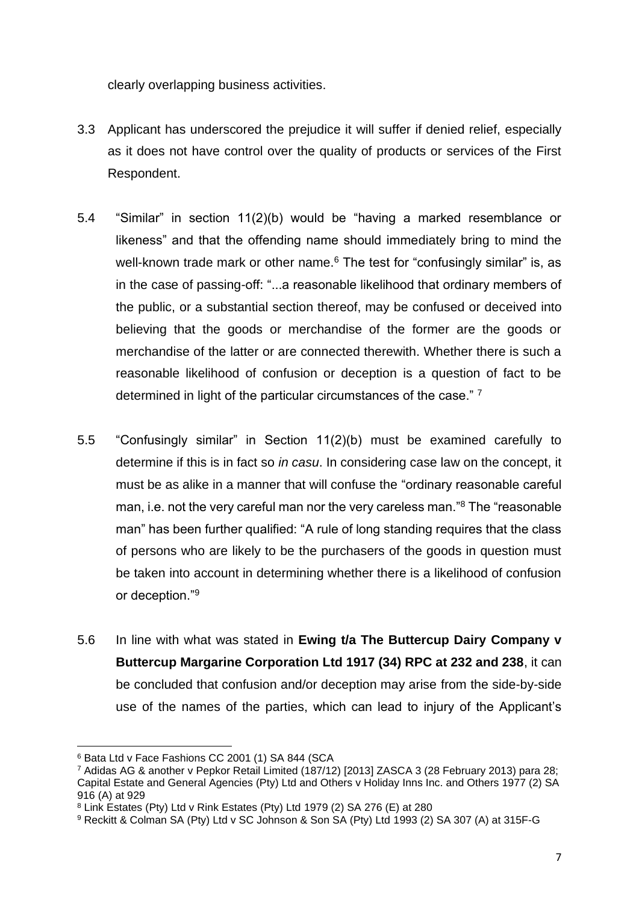clearly overlapping business activities.

- 3.3 Applicant has underscored the prejudice it will suffer if denied relief, especially as it does not have control over the quality of products or services of the First Respondent.
- 5.4 "Similar" in section 11(2)(b) would be "having a marked resemblance or likeness" and that the offending name should immediately bring to mind the well-known trade mark or other name.<sup>6</sup> The test for "confusingly similar" is, as in the case of passing-off: "...a reasonable likelihood that ordinary members of the public, or a substantial section thereof, may be confused or deceived into believing that the goods or merchandise of the former are the goods or merchandise of the latter or are connected therewith. Whether there is such a reasonable likelihood of confusion or deception is a question of fact to be determined in light of the particular circumstances of the case." <sup>7</sup>
- 5.5 "Confusingly similar" in Section 11(2)(b) must be examined carefully to determine if this is in fact so *in casu*. In considering case law on the concept, it must be as alike in a manner that will confuse the "ordinary reasonable careful man, i.e. not the very careful man nor the very careless man."<sup>8</sup> The "reasonable man" has been further qualified: "A rule of long standing requires that the class of persons who are likely to be the purchasers of the goods in question must be taken into account in determining whether there is a likelihood of confusion or deception."<sup>9</sup>
- 5.6 In line with what was stated in **Ewing t/a The Buttercup Dairy Company v Buttercup Margarine Corporation Ltd 1917 (34) RPC at 232 and 238**, it can be concluded that confusion and/or deception may arise from the side-by-side use of the names of the parties, which can lead to injury of the Applicant's

<sup>6</sup> Bata Ltd v Face Fashions CC 2001 (1) SA 844 (SCA

<sup>7</sup> Adidas AG & another v Pepkor Retail Limited (187/12) [2013] ZASCA 3 (28 February 2013) para 28; Capital Estate and General Agencies (Pty) Ltd and Others v Holiday Inns Inc. and Others 1977 (2) SA 916 (A) at 929

<sup>8</sup> Link Estates (Pty) Ltd v Rink Estates (Pty) Ltd 1979 (2) SA 276 (E) at 280

<sup>9</sup> Reckitt & Colman SA (Pty) Ltd v SC Johnson & Son SA (Pty) Ltd 1993 (2) SA 307 (A) at 315F-G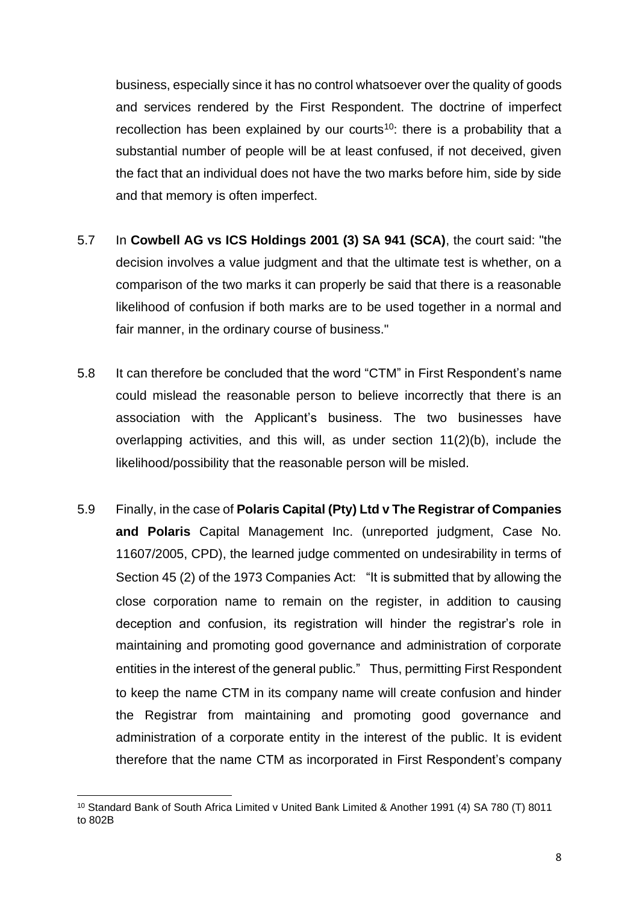business, especially since it has no control whatsoever over the quality of goods and services rendered by the First Respondent. The doctrine of imperfect recollection has been explained by our courts<sup>10</sup>: there is a probability that a substantial number of people will be at least confused, if not deceived, given the fact that an individual does not have the two marks before him, side by side and that memory is often imperfect.

- 5.7 In **Cowbell AG vs ICS Holdings 2001 (3) SA 941 (SCA)**, the court said: "the decision involves a value judgment and that the ultimate test is whether, on a comparison of the two marks it can properly be said that there is a reasonable likelihood of confusion if both marks are to be used together in a normal and fair manner, in the ordinary course of business."
- 5.8 It can therefore be concluded that the word "CTM" in First Respondent's name could mislead the reasonable person to believe incorrectly that there is an association with the Applicant's business. The two businesses have overlapping activities, and this will, as under section 11(2)(b), include the likelihood/possibility that the reasonable person will be misled.
- 5.9 Finally, in the case of **Polaris Capital (Pty) Ltd v The Registrar of Companies and Polaris** Capital Management Inc. (unreported judgment, Case No. 11607/2005, CPD), the learned judge commented on undesirability in terms of Section 45 (2) of the 1973 Companies Act: "It is submitted that by allowing the close corporation name to remain on the register, in addition to causing deception and confusion, its registration will hinder the registrar's role in maintaining and promoting good governance and administration of corporate entities in the interest of the general public." Thus, permitting First Respondent to keep the name CTM in its company name will create confusion and hinder the Registrar from maintaining and promoting good governance and administration of a corporate entity in the interest of the public. It is evident therefore that the name CTM as incorporated in First Respondent's company

<sup>10</sup> Standard Bank of South Africa Limited v United Bank Limited & Another 1991 (4) SA 780 (T) 8011 to 802B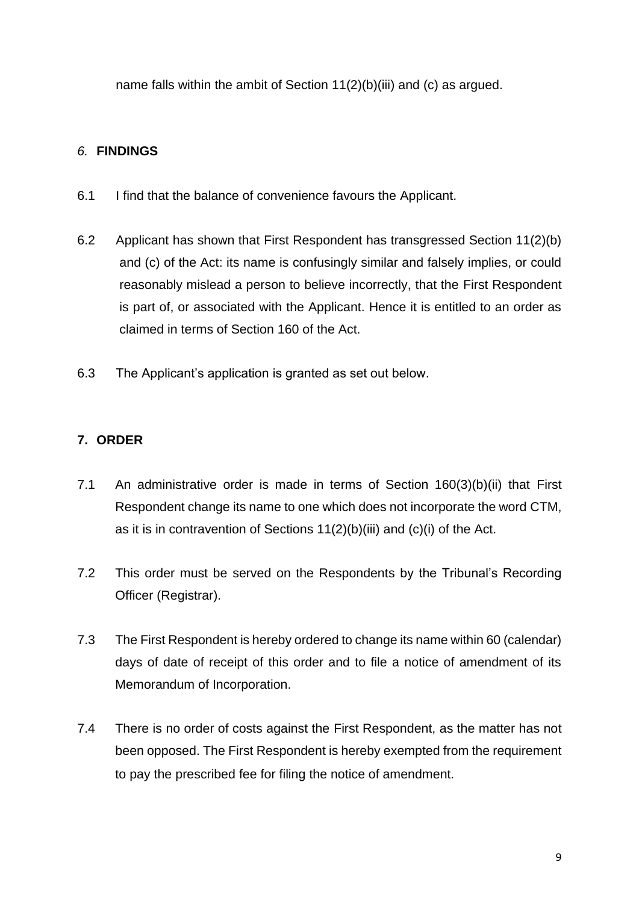name falls within the ambit of Section 11(2)(b)(iii) and (c) as argued.

## *6.* **FINDINGS**

- 6.1 I find that the balance of convenience favours the Applicant.
- 6.2 Applicant has shown that First Respondent has transgressed Section 11(2)(b) and (c) of the Act: its name is confusingly similar and falsely implies, or could reasonably mislead a person to believe incorrectly, that the First Respondent is part of, or associated with the Applicant. Hence it is entitled to an order as claimed in terms of Section 160 of the Act.
- 6.3 The Applicant's application is granted as set out below.

### **7. ORDER**

- 7.1 An administrative order is made in terms of Section 160(3)(b)(ii) that First Respondent change its name to one which does not incorporate the word CTM, as it is in contravention of Sections 11(2)(b)(iii) and (c)(i) of the Act.
- 7.2 This order must be served on the Respondents by the Tribunal's Recording Officer (Registrar).
- 7.3 The First Respondent is hereby ordered to change its name within 60 (calendar) days of date of receipt of this order and to file a notice of amendment of its Memorandum of Incorporation.
- 7.4 There is no order of costs against the First Respondent, as the matter has not been opposed. The First Respondent is hereby exempted from the requirement to pay the prescribed fee for filing the notice of amendment.